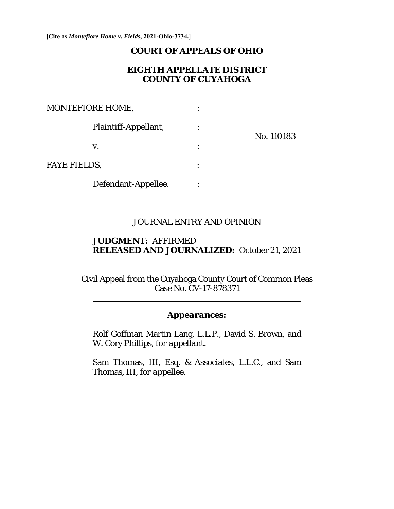**[Cite as** *Montefiore Home v. Fields***, 2021-Ohio-3734.]**

 $\overline{a}$ 

 $\overline{a}$ 

 $\overline{a}$ 

### **COURT OF APPEALS OF OHIO**

## **EIGHTH APPELLATE DISTRICT COUNTY OF CUYAHOGA**

| <b>MONTEFIORE HOME,</b> | ٠ |            |
|-------------------------|---|------------|
| Plaintiff-Appellant,    |   | No. 110183 |
| V.                      |   |            |
| <b>FAYE FIELDS,</b>     |   |            |
| Defendant-Appellee.     | ٠ |            |

### JOURNAL ENTRY AND OPINION

## **JUDGMENT:** AFFIRMED **RELEASED AND JOURNALIZED:** October 21, 2021

Civil Appeal from the Cuyahoga County Court of Common Pleas Case No. CV-17-878371

# *Appearances:*

Rolf Goffman Martin Lang, L.L.P., David S. Brown, and W. Cory Phillips, *for appellant*.

Sam Thomas, III, Esq. & Associates, L.L.C., and Sam Thomas, III, *for appellee.*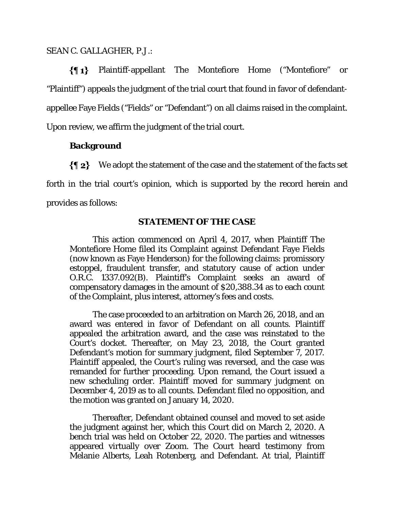#### SEAN C. GALLAGHER, P.J.:

Plaintiff-appellant The Montefiore Home ("Montefiore" or  $\{ \P 1 \}$ "Plaintiff") appeals the judgment of the trial court that found in favor of defendantappellee Faye Fields ("Fields" or "Defendant") on all claims raised in the complaint. Upon review, we affirm the judgment of the trial court.

## **Background**

 $\{\P_2\}$  We adopt the statement of the case and the statement of the facts set forth in the trial court's opinion, which is supported by the record herein and provides as follows:

## **STATEMENT OF THE CASE**

This action commenced on April 4, 2017, when Plaintiff The Montefiore Home filed its Complaint against Defendant Faye Fields (now known as Faye Henderson) for the following claims: promissory estoppel, fraudulent transfer, and statutory cause of action under O.R.C. 1337.092(B). Plaintiff's Complaint seeks an award of compensatory damages in the amount of \$20,388.34 as to each count of the Complaint, plus interest, attorney's fees and costs.

The case proceeded to an arbitration on March 26, 2018, and an award was entered in favor of Defendant on all counts. Plaintiff appealed the arbitration award, and the case was reinstated to the Court's docket. Thereafter, on May 23, 2018, the Court granted Defendant's motion for summary judgment, filed September 7, 2017. Plaintiff appealed, the Court's ruling was reversed, and the case was remanded for further proceeding. Upon remand, the Court issued a new scheduling order. Plaintiff moved for summary judgment on December 4, 2019 as to all counts. Defendant filed no opposition, and the motion was granted on January 14, 2020.

Thereafter, Defendant obtained counsel and moved to set aside the judgment against her, which this Court did on March 2, 2020. A bench trial was held on October 22, 2020. The parties and witnesses appeared virtually over Zoom. The Court heard testimony from Melanie Alberts, Leah Rotenberg, and Defendant. At trial, Plaintiff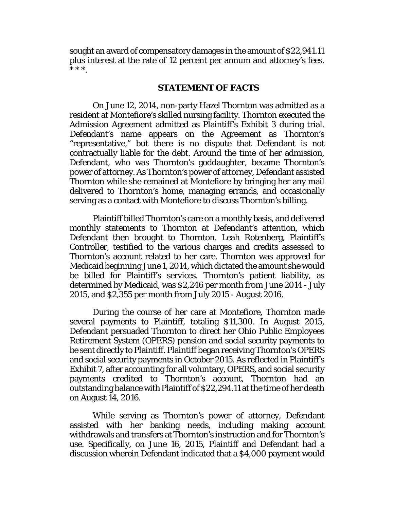sought an award of compensatory damages in the amount of \$22,941.11 plus interest at the rate of 12 percent per annum and attorney's fees. \* \* \*.

#### **STATEMENT OF FACTS**

On June 12, 2014, non-party Hazel Thornton was admitted as a resident at Montefiore's skilled nursing facility. Thornton executed the Admission Agreement admitted as Plaintiff's Exhibit 3 during trial. Defendant's name appears on the Agreement as Thornton's "representative," but there is no dispute that Defendant is not contractually liable for the debt. Around the time of her admission, Defendant, who was Thornton's goddaughter, became Thornton's power of attorney. As Thornton's power of attorney, Defendant assisted Thornton while she remained at Montefiore by bringing her any mail delivered to Thornton's home, managing errands, and occasionally serving as a contact with Montefiore to discuss Thornton's billing.

Plaintiff billed Thornton's care on a monthly basis, and delivered monthly statements to Thornton at Defendant's attention, which Defendant then brought to Thornton. Leah Rotenberg, Plaintiff's Controller, testified to the various charges and credits assessed to Thornton's account related to her care. Thornton was approved for Medicaid beginning June 1, 2014, which dictated the amount she would be billed for Plaintiff's services. Thornton's patient liability, as determined by Medicaid, was \$2,246 per month from June 2014 - July 2015, and \$2,355 per month from July 2015 - August 2016.

During the course of her care at Montefiore, Thornton made several payments to Plaintiff, totaling \$11,300. In August 2015, Defendant persuaded Thornton to direct her Ohio Public Employees Retirement System (OPERS) pension and social security payments to be sent directly to Plaintiff. Plaintiff began receiving Thornton's OPERS and social security payments in October 2015. As reflected in Plaintiff's Exhibit 7, after accounting for all voluntary, OPERS, and social security payments credited to Thornton's account, Thornton had an outstanding balance with Plaintiff of \$22,294.11 at the time of her death on August 14, 2016.

While serving as Thornton's power of attorney, Defendant assisted with her banking needs, including making account withdrawals and transfers at Thornton's instruction and for Thornton's use. Specifically, on June 16, 2015, Plaintiff and Defendant had a discussion wherein Defendant indicated that a \$4,000 payment would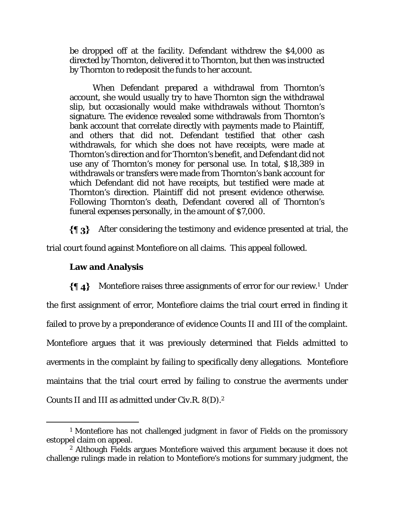be dropped off at the facility. Defendant withdrew the \$4,000 as directed by Thornton, delivered it to Thornton, but then was instructed by Thornton to redeposit the funds to her account.

When Defendant prepared a withdrawal from Thornton's account, she would usually try to have Thornton sign the withdrawal slip, but occasionally would make withdrawals without Thornton's signature. The evidence revealed some withdrawals from Thornton's bank account that correlate directly with payments made to Plaintiff, and others that did not. Defendant testified that other cash withdrawals, for which she does not have receipts, were made at Thornton's direction and for Thornton's benefit, and Defendant did not use any of Thornton's money for personal use. In total, \$18,389 in withdrawals or transfers were made from Thornton's bank account for which Defendant did not have receipts, but testified were made at Thornton's direction. Plaintiff did not present evidence otherwise. Following Thornton's death, Defendant covered all of Thornton's funeral expenses personally, in the amount of \$7,000.

 $\{\P_3\}$  After considering the testimony and evidence presented at trial, the trial court found against Montefiore on all claims. This appeal followed.

## **Law and Analysis**

 $\{\P_4\}$  Montefiore raises three assignments of error for our review.<sup>1</sup> Under the first assignment of error, Montefiore claims the trial court erred in finding it failed to prove by a preponderance of evidence Counts II and III of the complaint. Montefiore argues that it was previously determined that Fields admitted to averments in the complaint by failing to specifically deny allegations. Montefiore maintains that the trial court erred by failing to construe the averments under Counts II and III as admitted under Civ.R. 8(D).2

<sup>&</sup>lt;sup>1</sup> Montefiore has not challenged judgment in favor of Fields on the promissory estoppel claim on appeal.

<sup>2</sup> Although Fields argues Montefiore waived this argument because it does not challenge rulings made in relation to Montefiore's motions for summary judgment, the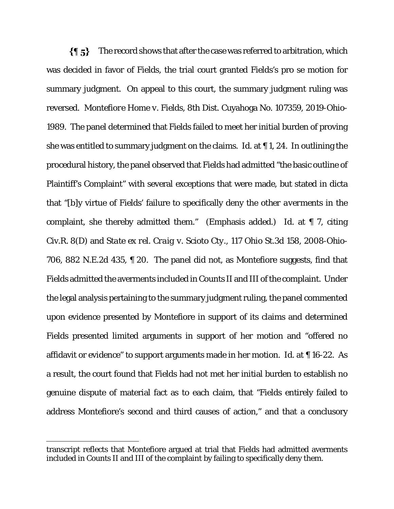$\{\P\}$ The record shows that after the case was referred to arbitration, which was decided in favor of Fields, the trial court granted Fields's pro se motion for summary judgment. On appeal to this court, the summary judgment ruling was reversed. *Montefiore Home v. Fields*, 8th Dist. Cuyahoga No. 107359, 2019-Ohio-1989. The panel determined that Fields failed to meet her initial burden of proving she was entitled to summary judgment on the claims. *Id*. at ¶ 1, 24. In outlining the procedural history, the panel observed that Fields had admitted "the basic outline of Plaintiff's Complaint" with several exceptions that were made, but stated in dicta that "[b]y virtue of Fields' failure to specifically deny the *other averments* in the complaint, she thereby admitted them." (Emphasis added.) *Id*. at ¶ 7, citing Civ.R. 8(D) and *State ex rel. Craig v. Scioto Cty.*, 117 Ohio St.3d 158, 2008-Ohio-706, 882 N.E.2d 435, ¶ 20. The panel did not, as Montefiore suggests, find that Fields admitted the averments included in Counts II and III of the complaint. Under the legal analysis pertaining to the summary judgment ruling, the panel commented upon evidence presented by Montefiore in support of its claims and determined Fields presented limited arguments in support of her motion and "offered no affidavit or evidence" to support arguments made in her motion. *Id*. at ¶ 16-22. As a result, the court found that Fields had not met her initial burden to establish no genuine dispute of material fact as to each claim, that "Fields entirely failed to address Montefiore's second and third causes of action," and that a conclusory

transcript reflects that Montefiore argued at trial that Fields had admitted averments included in Counts II and III of the complaint by failing to specifically deny them.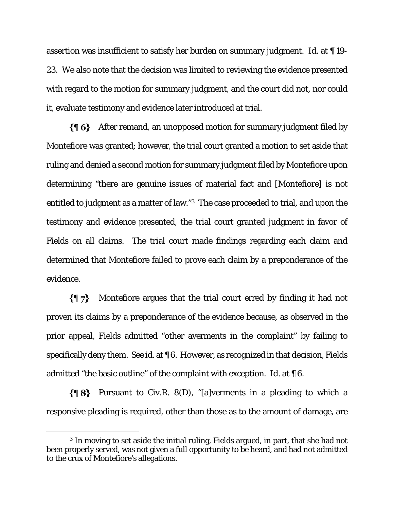assertion was insufficient to satisfy her burden on summary judgment. *Id*. at ¶ 19- 23. We also note that the decision was limited to reviewing the evidence presented with regard to the motion for summary judgment, and the court did not, nor could it, evaluate testimony and evidence later introduced at trial.

 $\{\P_6\}$  After remand, an unopposed motion for summary judgment filed by Montefiore was granted; however, the trial court granted a motion to set aside that ruling and denied a second motion for summary judgment filed by Montefiore upon determining "there are genuine issues of material fact and [Montefiore] is not entitled to judgment as a matter of law."3 The case proceeded to trial, and upon the testimony and evidence presented, the trial court granted judgment in favor of Fields on all claims. The trial court made findings regarding each claim and determined that Montefiore failed to prove each claim by a preponderance of the evidence.

 $\{ \P\}$ Montefiore argues that the trial court erred by finding it had not proven its claims by a preponderance of the evidence because, as observed in the prior appeal, Fields admitted "other averments in the complaint" by failing to specifically deny them. *See id*. at ¶ 6. However, as recognized in that decision, Fields admitted "the basic outline" of the complaint with exception. *Id*. at ¶ 6.

 $\{\P 8\}$  Pursuant to Civ.R. 8(D), "[a]verments in a pleading to which a responsive pleading is required, other than those as to the amount of damage, are

<sup>3</sup> In moving to set aside the initial ruling, Fields argued, in part, that she had not been properly served, was not given a full opportunity to be heard, and had not admitted to the crux of Montefiore's allegations.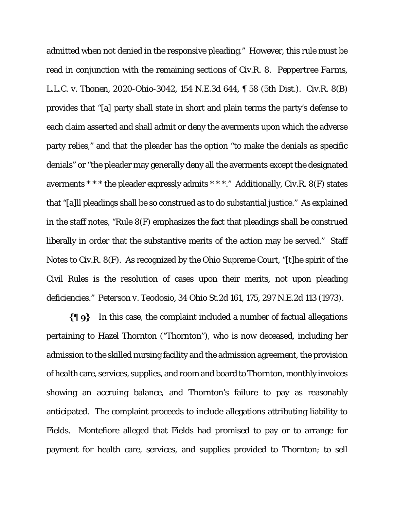admitted when not denied in the responsive pleading." However, this rule must be read in conjunction with the remaining sections of Civ.R. 8. *Peppertree Farms, L.L.C. v. Thonen*, 2020-Ohio-3042, 154 N.E.3d 644, ¶ 58 (5th Dist.). Civ.R. 8(B) provides that "[a] party shall state in short and plain terms the party's defense to each claim asserted and shall admit or deny the averments upon which the adverse party relies," and that the pleader has the option "to make the denials as specific denials" or "the pleader may generally deny all the averments except the designated averments \* \* \* the pleader expressly admits \* \* \*." Additionally, Civ.R. 8(F) states that "[a]ll pleadings shall be so construed as to do substantial justice." As explained in the staff notes, "Rule 8(F) emphasizes the fact that pleadings shall be construed liberally in order that the substantive merits of the action may be served." Staff Notes to Civ.R. 8(F). As recognized by the Ohio Supreme Court, "[t]he spirit of the Civil Rules is the resolution of cases upon their merits, not upon pleading deficiencies." *Peterson v. Teodosio*, 34 Ohio St.2d 161, 175, 297 N.E.2d 113 (1973).

 $\{\P\$ 9} In this case, the complaint included a number of factual allegations pertaining to Hazel Thornton ("Thornton"), who is now deceased, including her admission to the skilled nursing facility and the admission agreement, the provision of health care, services, supplies, and room and board to Thornton, monthly invoices showing an accruing balance, and Thornton's failure to pay as reasonably anticipated. The complaint proceeds to include allegations attributing liability to Fields. Montefiore alleged that Fields had promised to pay or to arrange for payment for health care, services, and supplies provided to Thornton; to sell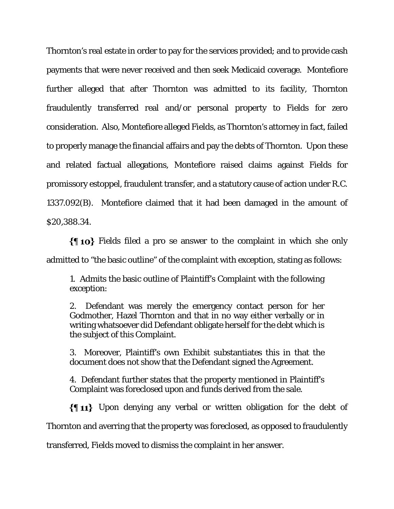Thornton's real estate in order to pay for the services provided; and to provide cash payments that were never received and then seek Medicaid coverage. Montefiore further alleged that after Thornton was admitted to its facility, Thornton fraudulently transferred real and/or personal property to Fields for zero consideration. Also, Montefiore alleged Fields, as Thornton's attorney in fact, failed to properly manage the financial affairs and pay the debts of Thornton. Upon these and related factual allegations, Montefiore raised claims against Fields for promissory estoppel, fraudulent transfer, and a statutory cause of action under R.C. 1337.092(B). Montefiore claimed that it had been damaged in the amount of \$20,388.34.

Fields filed a pro se answer to the complaint in which she only admitted to "the basic outline" of the complaint with exception, stating as follows:

1. Admits the basic outline of Plaintiff's Complaint with the following exception:

2. Defendant was merely the emergency contact person for her Godmother, Hazel Thornton and that in no way either verbally or in writing whatsoever did Defendant obligate herself for the debt which is the subject of this Complaint.

3. Moreover, Plaintiff's own Exhibit substantiates this in that the document does not show that the Defendant signed the Agreement.

4. Defendant further states that the property mentioned in Plaintiff's Complaint was foreclosed upon and funds derived from the sale.

 $\{\P\ 11\}$  Upon denying any verbal or written obligation for the debt of Thornton and averring that the property was foreclosed, as opposed to fraudulently transferred, Fields moved to dismiss the complaint in her answer.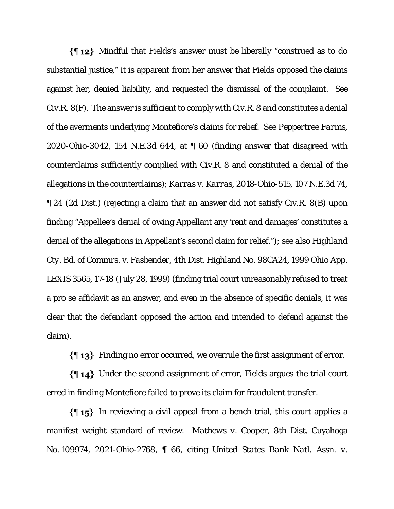Mindful that Fields's answer must be liberally "construed as to do substantial justice," it is apparent from her answer that Fields opposed the claims against her, denied liability, and requested the dismissal of the complaint. *See*  Civ.R. 8(F). The answer is sufficient to comply with Civ.R. 8 and constitutes a denial of the averments underlying Montefiore's claims for relief. *See Peppertree Farms,*  2020-Ohio-3042, 154 N.E.3d 644, at ¶ 60 (finding answer that disagreed with counterclaims sufficiently complied with Civ.R. 8 and constituted a denial of the allegations in the counterclaims); *Karras v. Karras*, 2018-Ohio-515, 107 N.E.3d 74, ¶ 24 (2d Dist.) (rejecting a claim that an answer did not satisfy Civ.R. 8(B) upon finding "Appellee's denial of owing Appellant any 'rent and damages' constitutes a denial of the allegations in Appellant's second claim for relief."); *see also Highland Cty. Bd. of Commrs. v. Fasbender*, 4th Dist. Highland No. 98CA24, 1999 Ohio App. LEXIS 3565, 17-18 (July 28, 1999) (finding trial court unreasonably refused to treat a pro se affidavit as an answer, and even in the absence of specific denials, it was clear that the defendant opposed the action and intended to defend against the claim).

 $\{\P 13\}$  Finding no error occurred, we overrule the first assignment of error.

Under the second assignment of error, Fields argues the trial court erred in finding Montefiore failed to prove its claim for fraudulent transfer.

 $\{\{\,\,\,\,\,\}\}$  In reviewing a civil appeal from a bench trial, this court applies a manifest weight standard of review. *Mathews v. Cooper*, 8th Dist. Cuyahoga No. 109974, 2021-Ohio-2768, ¶ 66, citing *United States Bank Natl. Assn. v.*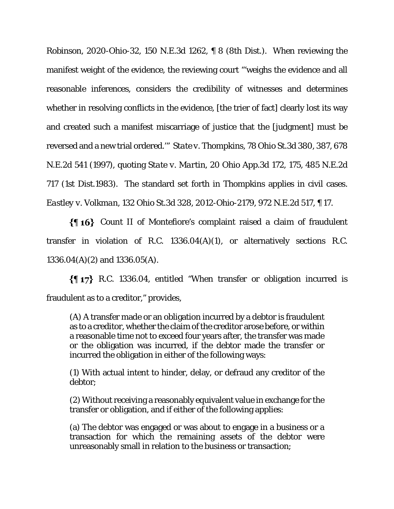*Robinson*, 2020-Ohio-32, 150 N.E.3d 1262, ¶ 8 (8th Dist.). When reviewing the manifest weight of the evidence, the reviewing court "'weighs the evidence and all reasonable inferences, considers the credibility of witnesses and determines whether in resolving conflicts in the evidence, [the trier of fact] clearly lost its way and created such a manifest miscarriage of justice that the [judgment] must be reversed and a new trial ordered.'" *State v. Thompkins*, 78 Ohio St.3d 380, 387, 678 N.E.2d 541 (1997), quoting *State v. Martin*, 20 Ohio App.3d 172, 175, 485 N.E.2d 717 (1st Dist.1983). The standard set forth in *Thompkins* applies in civil cases. *Eastley v. Volkman*, 132 Ohio St.3d 328, 2012-Ohio-2179, 972 N.E.2d 517, ¶ 17.

 Count II of Montefiore's complaint raised a claim of fraudulent transfer in violation of R.C. 1336.04(A)(1), or alternatively sections R.C. 1336.04(A)(2) and 1336.05(A).

R.C. 1336.04, entitled "When transfer or obligation incurred is fraudulent as to a creditor," provides,

(A) A transfer made or an obligation incurred by a debtor is fraudulent as to a creditor, whether the claim of the creditor arose before, or within a reasonable time not to exceed four years after, the transfer was made or the obligation was incurred, if the debtor made the transfer or incurred the obligation in either of the following ways:

(1) With actual intent to hinder, delay, or defraud any creditor of the debtor;

(2) Without receiving a reasonably equivalent value in exchange for the transfer or obligation, and if either of the following applies:

(a) The debtor was engaged or was about to engage in a business or a transaction for which the remaining assets of the debtor were unreasonably small in relation to the business or transaction;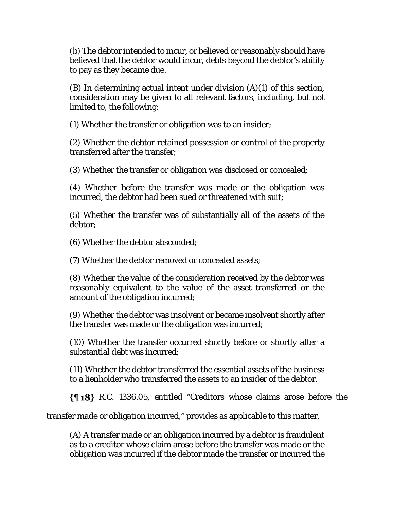(b) The debtor intended to incur, or believed or reasonably should have believed that the debtor would incur, debts beyond the debtor's ability to pay as they became due.

(B) In determining actual intent under division (A)(1) of this section, consideration may be given to all relevant factors, including, but not limited to, the following:

(1) Whether the transfer or obligation was to an insider;

(2) Whether the debtor retained possession or control of the property transferred after the transfer;

(3) Whether the transfer or obligation was disclosed or concealed;

(4) Whether before the transfer was made or the obligation was incurred, the debtor had been sued or threatened with suit;

(5) Whether the transfer was of substantially all of the assets of the debtor;

(6) Whether the debtor absconded;

(7) Whether the debtor removed or concealed assets;

(8) Whether the value of the consideration received by the debtor was reasonably equivalent to the value of the asset transferred or the amount of the obligation incurred;

(9) Whether the debtor was insolvent or became insolvent shortly after the transfer was made or the obligation was incurred;

(10) Whether the transfer occurred shortly before or shortly after a substantial debt was incurred;

(11) Whether the debtor transferred the essential assets of the business to a lienholder who transferred the assets to an insider of the debtor.

R.C. 1336.05, entitled "Creditors whose claims arose before the

transfer made or obligation incurred," provides as applicable to this matter,

(A) A transfer made or an obligation incurred by a debtor is fraudulent as to a creditor whose claim arose before the transfer was made or the obligation was incurred if the debtor made the transfer or incurred the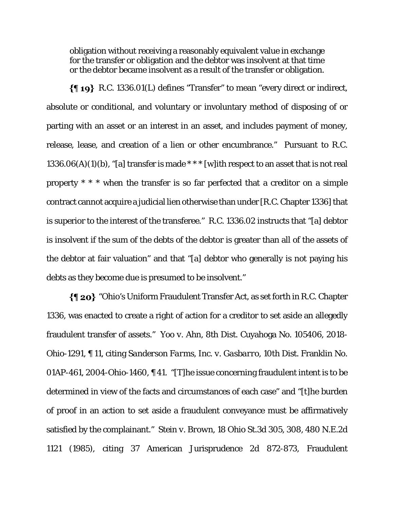obligation without receiving a reasonably equivalent value in exchange for the transfer or obligation and the debtor was insolvent at that time or the debtor became insolvent as a result of the transfer or obligation.

R.C. 1336.01(L) defines "Transfer" to mean "every direct or indirect, absolute or conditional, and voluntary or involuntary method of disposing of or parting with an asset or an interest in an asset, and includes payment of money, release, lease, and creation of a lien or other encumbrance." Pursuant to R.C. 1336.06(A)(1)(b), "[a] transfer is made \*\*\* [w] ith respect to an asset that is not real property \* \* \* when the transfer is so far perfected that a creditor on a simple contract cannot acquire a judicial lien otherwise than under [R.C. Chapter 1336] that is superior to the interest of the transferee." R.C. 1336.02 instructs that "[a] debtor is insolvent if the sum of the debts of the debtor is greater than all of the assets of the debtor at fair valuation" and that "[a] debtor who generally is not paying his debts as they become due is presumed to be insolvent."

"Ohio's Uniform Fraudulent Transfer Act, as set forth in R.C. Chapter 1336, was enacted to create a right of action for a creditor to set aside an allegedly fraudulent transfer of assets." *Yoo v. Ahn*, 8th Dist. Cuyahoga No. 105406, 2018- Ohio-1291, ¶ 11, citing *Sanderson Farms, Inc. v. Gasbarro*, 10th Dist. Franklin No. 01AP-461, 2004-Ohio-1460, ¶ 41. "[T]he issue concerning fraudulent intent is to be determined in view of the facts and circumstances of each case" and "[t]he burden of proof in an action to set aside a fraudulent conveyance must be affirmatively satisfied by the complainant." *Stein v. Brown*, 18 Ohio St.3d 305, 308, 480 N.E.2d 1121 (1985), citing 37 American Jurisprudence 2d 872-873, Fraudulent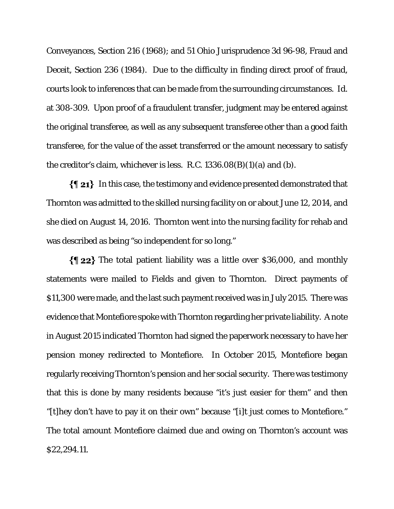Conveyances, Section 216 (1968); and 51 Ohio Jurisprudence 3d 96-98, Fraud and Deceit, Section 236 (1984). Due to the difficulty in finding direct proof of fraud, courts look to inferences that can be made from the surrounding circumstances. *Id.*  at 308-309. Upon proof of a fraudulent transfer, judgment may be entered against the original transferee, as well as any subsequent transferee other than a good faith transferee, for the value of the asset transferred or the amount necessary to satisfy the creditor's claim, whichever is less. R.C.  $1336.08(B)(1)(a)$  and (b).

 $\{\P_21\}$  In this case, the testimony and evidence presented demonstrated that Thornton was admitted to the skilled nursing facility on or about June 12, 2014, and she died on August 14, 2016. Thornton went into the nursing facility for rehab and was described as being "so independent for so long."

 $\{\$\,22\}$  The total patient liability was a little over \$36,000, and monthly statements were mailed to Fields and given to Thornton. Direct payments of \$11,300 were made, and the last such payment received was in July 2015. There was evidence that Montefiore spoke with Thornton regarding her private liability. A note in August 2015 indicated Thornton had signed the paperwork necessary to have her pension money redirected to Montefiore. In October 2015, Montefiore began regularly receiving Thornton's pension and her social security. There was testimony that this is done by many residents because "it's just easier for them" and then "[t]hey don't have to pay it on their own" because "[i]t just comes to Montefiore." The total amount Montefiore claimed due and owing on Thornton's account was \$22,294.11.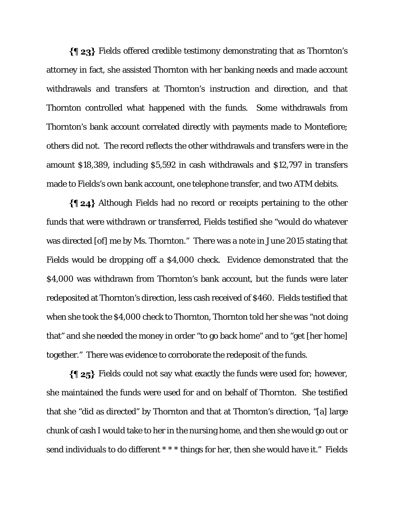Fields offered credible testimony demonstrating that as Thornton's attorney in fact, she assisted Thornton with her banking needs and made account withdrawals and transfers at Thornton's instruction and direction, and that Thornton controlled what happened with the funds. Some withdrawals from Thornton's bank account correlated directly with payments made to Montefiore; others did not. The record reflects the other withdrawals and transfers were in the amount \$18,389, including \$5,592 in cash withdrawals and \$12,797 in transfers made to Fields's own bank account, one telephone transfer, and two ATM debits.

Although Fields had no record or receipts pertaining to the other funds that were withdrawn or transferred, Fields testified she "would do whatever was directed [of] me by Ms. Thornton." There was a note in June 2015 stating that Fields would be dropping off a \$4,000 check. Evidence demonstrated that the \$4,000 was withdrawn from Thornton's bank account, but the funds were later redeposited at Thornton's direction, less cash received of \$460. Fields testified that when she took the \$4,000 check to Thornton, Thornton told her she was "not doing that" and she needed the money in order "to go back home" and to "get [her home] together." There was evidence to corroborate the redeposit of the funds.

Fields could not say what exactly the funds were used for; however, she maintained the funds were used for and on behalf of Thornton. She testified that she "did as directed" by Thornton and that at Thornton's direction, "[a] large chunk of cash I would take to her in the nursing home, and then she would go out or send individuals to do different \*\*\* things for her, then she would have it." Fields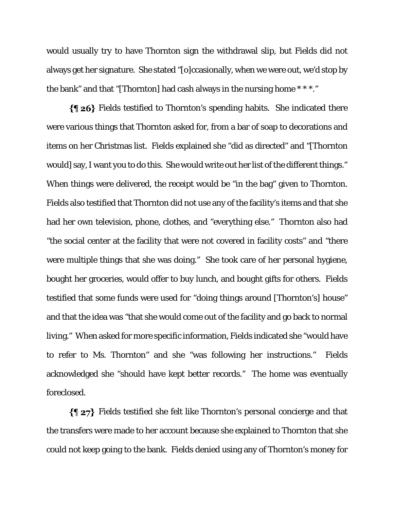would usually try to have Thornton sign the withdrawal slip, but Fields did not always get her signature. She stated "[o]ccasionally, when we were out, we'd stop by the bank" and that "[Thornton] had cash always in the nursing home \* \* \*."

Fields testified to Thornton's spending habits. She indicated there were various things that Thornton asked for, from a bar of soap to decorations and items on her Christmas list. Fields explained she "did as directed" and "[Thornton would] say, I want you to do this. She would write out her list of the different things." When things were delivered, the receipt would be "in the bag" given to Thornton. Fields also testified that Thornton did not use any of the facility's items and that she had her own television, phone, clothes, and "everything else." Thornton also had "the social center at the facility that were not covered in facility costs" and "there were multiple things that she was doing." She took care of her personal hygiene, bought her groceries, would offer to buy lunch, and bought gifts for others. Fields testified that some funds were used for "doing things around [Thornton's] house" and that the idea was "that she would come out of the facility and go back to normal living." When asked for more specific information, Fields indicated she "would have to refer to Ms. Thornton" and she "was following her instructions." Fields acknowledged she "should have kept better records." The home was eventually foreclosed.

Fields testified she felt like Thornton's personal concierge and that the transfers were made to her account because she explained to Thornton that she could not keep going to the bank. Fields denied using any of Thornton's money for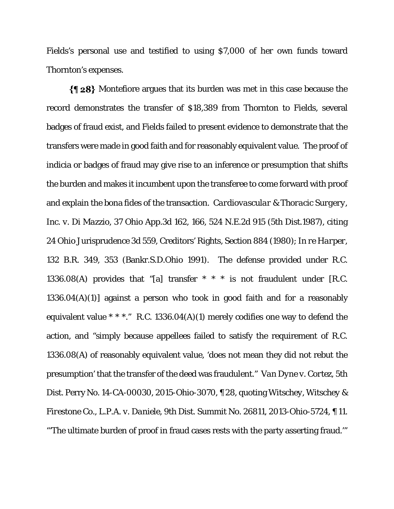Fields's personal use and testified to using \$7,000 of her own funds toward Thornton's expenses.

 $\{\P 28\}$  Montefiore argues that its burden was met in this case because the record demonstrates the transfer of \$18,389 from Thornton to Fields, several badges of fraud exist, and Fields failed to present evidence to demonstrate that the transfers were made in good faith and for reasonably equivalent value. The proof of indicia or badges of fraud may give rise to an inference or presumption that shifts the burden and makes it incumbent upon the transferee to come forward with proof and explain the bona fides of the transaction. *Cardiovascular & Thoracic Surgery, Inc. v. Di Mazzio*, 37 Ohio App.3d 162, 166, 524 N.E.2d 915 (5th Dist.1987), citing 24 Ohio Jurisprudence 3d 559, Creditors' Rights, Section 884 (1980); *In re Harper*, 132 B.R. 349, 353 (Bankr.S.D.Ohio 1991). The defense provided under R.C. 1336.08(A) provides that "[a] transfer  $* * *$  is not fraudulent under [R.C. 1336.04(A)(1)] against a person who took in good faith and for a reasonably equivalent value  $* * *$ ." R.C. 1336.04(A)(1) merely codifies one way to defend the action, and "simply because appellees failed to satisfy the requirement of R.C. 1336.08(A) of reasonably equivalent value, 'does not mean they did not rebut the presumption' that the transfer of the deed was fraudulent." *Van Dyne v. Cortez*, 5th Dist. Perry No. 14-CA-00030, 2015-Ohio-3070, ¶ 28, quoting *Witschey, Witschey & Firestone Co., L.P.A. v. Daniele*, 9th Dist. Summit No. 26811, 2013-Ohio-5724, ¶ 11. "'The ultimate burden of proof in fraud cases rests with the party asserting fraud.'"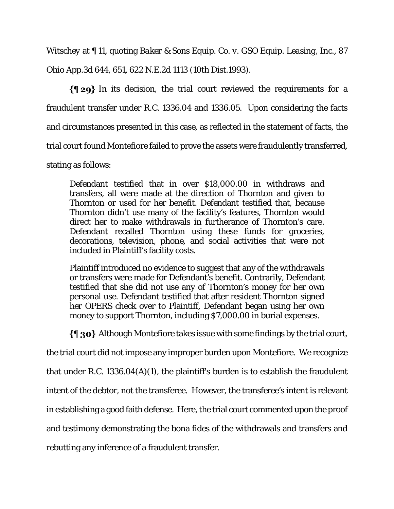*Witschey* at ¶ 11, quoting *Baker & Sons Equip. Co. v. GSO Equip. Leasing, Inc.,* 87 Ohio App.3d 644, 651, 622 N.E.2d 1113 (10th Dist.1993).

 $\{\P 29\}$  In its decision, the trial court reviewed the requirements for a fraudulent transfer under R.C. 1336.04 and 1336.05. Upon considering the facts and circumstances presented in this case, as reflected in the statement of facts, the trial court found Montefiore failed to prove the assets were fraudulently transferred, stating as follows:

Defendant testified that in over \$18,000.00 in withdraws and transfers, all were made at the direction of Thornton and given to Thornton or used for her benefit. Defendant testified that, because Thornton didn't use many of the facility's features, Thornton would direct her to make withdrawals in furtherance of Thornton's care. Defendant recalled Thornton using these funds for groceries, decorations, television, phone, and social activities that were not included in Plaintiff's facility costs.

Plaintiff introduced no evidence to suggest that any of the withdrawals or transfers were made for Defendant's benefit. Contrarily, Defendant testified that she did not use any of Thornton's money for her own personal use. Defendant testified that after resident Thornton signed her OPERS check over to Plaintiff, Defendant began using her own money to support Thornton, including \$7,000.00 in burial expenses.

 $\{\P$  30} Although Montefiore takes issue with some findings by the trial court,

the trial court did not impose any improper burden upon Montefiore. We recognize

that under R.C. 1336.04(A)(1), the plaintiff's burden is to establish the fraudulent

intent of the debtor, not the transferee. However, the transferee's intent is relevant

in establishing a good faith defense. Here, the trial court commented upon the proof

and testimony demonstrating the bona fides of the withdrawals and transfers and

rebutting any inference of a fraudulent transfer.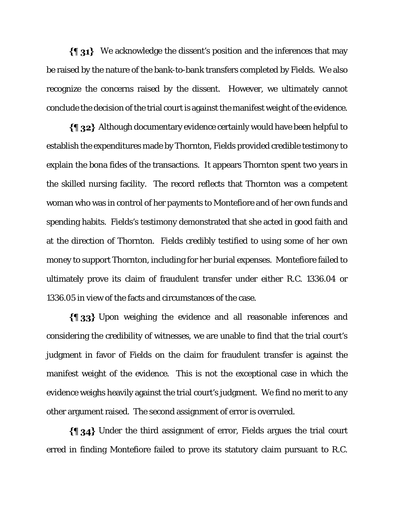We acknowledge the dissent's position and the inferences that may be raised by the nature of the bank-to-bank transfers completed by Fields. We also recognize the concerns raised by the dissent. However, we ultimately cannot conclude the decision of the trial court is against the manifest weight of the evidence.

Although documentary evidence certainly would have been helpful to establish the expenditures made by Thornton, Fields provided credible testimony to explain the bona fides of the transactions. It appears Thornton spent two years in the skilled nursing facility. The record reflects that Thornton was a competent woman who was in control of her payments to Montefiore and of her own funds and spending habits. Fields's testimony demonstrated that she acted in good faith and at the direction of Thornton. Fields credibly testified to using some of her own money to support Thornton, including for her burial expenses. Montefiore failed to ultimately prove its claim of fraudulent transfer under either R.C. 1336.04 or 1336.05 in view of the facts and circumstances of the case.

Upon weighing the evidence and all reasonable inferences and considering the credibility of witnesses, we are unable to find that the trial court's judgment in favor of Fields on the claim for fraudulent transfer is against the manifest weight of the evidence. This is not the exceptional case in which the evidence weighs heavily against the trial court's judgment. We find no merit to any other argument raised. The second assignment of error is overruled.

Under the third assignment of error, Fields argues the trial court erred in finding Montefiore failed to prove its statutory claim pursuant to R.C.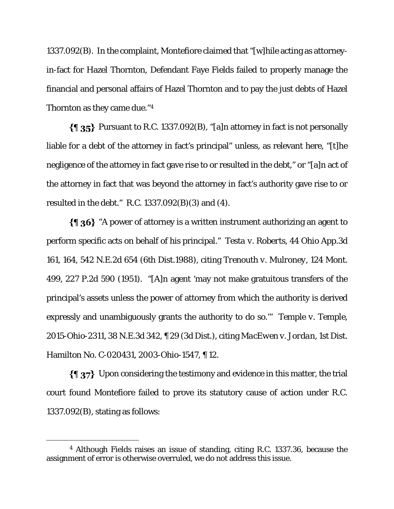1337.092(B). In the complaint, Montefiore claimed that "[w]hile acting as attorneyin-fact for Hazel Thornton, Defendant Faye Fields failed to properly manage the financial and personal affairs of Hazel Thornton and to pay the just debts of Hazel Thornton as they came due."4

 $\{\$\;35\}$  Pursuant to R.C. 1337.092(B), "[a]n attorney in fact is not personally liable for a debt of the attorney in fact's principal" unless, as relevant here, "[t]he negligence of the attorney in fact gave rise to or resulted in the debt," or "[a]n act of the attorney in fact that was beyond the attorney in fact's authority gave rise to or resulted in the debt." R.C. 1337.092(B)(3) and (4).

 $\{\P_36\}$  "A power of attorney is a written instrument authorizing an agent to perform specific acts on behalf of his principal." *Testa v. Roberts*, 44 Ohio App.3d 161, 164, 542 N.E.2d 654 (6th Dist.1988), citing *Trenouth v. Mulroney*, 124 Mont. 499, 227 P.2d 590 (1951). "[A]n agent 'may not make gratuitous transfers of the principal's assets unless the power of attorney from which the authority is derived expressly and unambiguously grants the authority to do so.'" *Temple v. Temple*, 2015-Ohio-2311, 38 N.E.3d 342, ¶ 29 (3d Dist.), citing *MacEwen v. Jordan*, 1st Dist. Hamilton No. C-020431, 2003-Ohio-1547, ¶ 12.

Upon considering the testimony and evidence in this matter, the trial court found Montefiore failed to prove its statutory cause of action under R.C. 1337.092(B), stating as follows:

<sup>4</sup> Although Fields raises an issue of standing, citing R.C. 1337.36, because the assignment of error is otherwise overruled, we do not address this issue.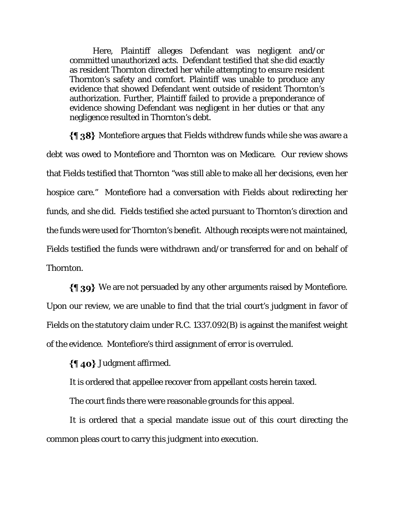Here, Plaintiff alleges Defendant was negligent and/or committed unauthorized acts. Defendant testified that she did exactly as resident Thornton directed her while attempting to ensure resident Thornton's safety and comfort. Plaintiff was unable to produce any evidence that showed Defendant went outside of resident Thornton's authorization. Further, Plaintiff failed to provide a preponderance of evidence showing Defendant was negligent in her duties or that any negligence resulted in Thornton's debt.

 $\{\{\}\$  38} Montefiore argues that Fields withdrew funds while she was aware a debt was owed to Montefiore and Thornton was on Medicare. Our review shows that Fields testified that Thornton "was still able to make all her decisions, even her hospice care." Montefiore had a conversation with Fields about redirecting her funds, and she did. Fields testified she acted pursuant to Thornton's direction and the funds were used for Thornton's benefit. Although receipts were not maintained, Fields testified the funds were withdrawn and/or transferred for and on behalf of Thornton.

We are not persuaded by any other arguments raised by Montefiore. Upon our review, we are unable to find that the trial court's judgment in favor of Fields on the statutory claim under R.C. 1337.092(B) is against the manifest weight of the evidence. Montefiore's third assignment of error is overruled.

Judgment affirmed.

It is ordered that appellee recover from appellant costs herein taxed.

The court finds there were reasonable grounds for this appeal.

It is ordered that a special mandate issue out of this court directing the common pleas court to carry this judgment into execution.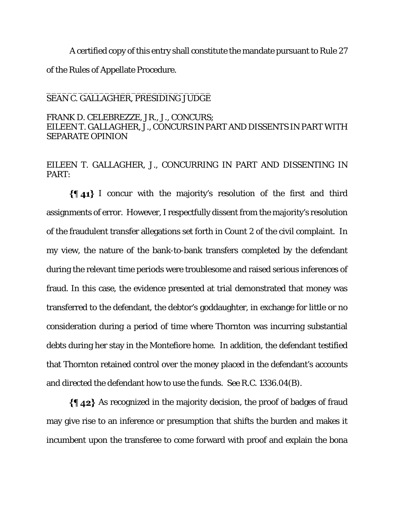A certified copy of this entry shall constitute the mandate pursuant to Rule 27 of the Rules of Appellate Procedure.

### \_\_\_\_\_\_\_\_\_\_\_\_\_\_\_\_\_\_\_\_\_\_\_\_\_\_\_\_\_\_\_ SEAN C. GALLAGHER, PRESIDING JUDGE

# FRANK D. CELEBREZZE, JR., J., CONCURS; EILEEN T. GALLAGHER, J., CONCURS IN PART AND DISSENTS IN PART WITH SEPARATE OPINION

# EILEEN T. GALLAGHER, J., CONCURRING IN PART AND DISSENTING IN PART:

I concur with the majority's resolution of the first and third assignments of error. However, I respectfully dissent from the majority's resolution of the fraudulent transfer allegations set forth in Count 2 of the civil complaint. In my view, the nature of the bank-to-bank transfers completed by the defendant during the relevant time periods were troublesome and raised serious inferences of fraud. In this case, the evidence presented at trial demonstrated that money was transferred to the defendant, the debtor's goddaughter, in exchange for little or no consideration during a period of time where Thornton was incurring substantial debts during her stay in the Montefiore home. In addition, the defendant testified that Thornton retained control over the money placed in the defendant's accounts and directed the defendant how to use the funds. *See* R.C. 1336.04(B).

 $\{\{\,\,\}\,\$  42} As recognized in the majority decision, the proof of badges of fraud may give rise to an inference or presumption that shifts the burden and makes it incumbent upon the transferee to come forward with proof and explain the bona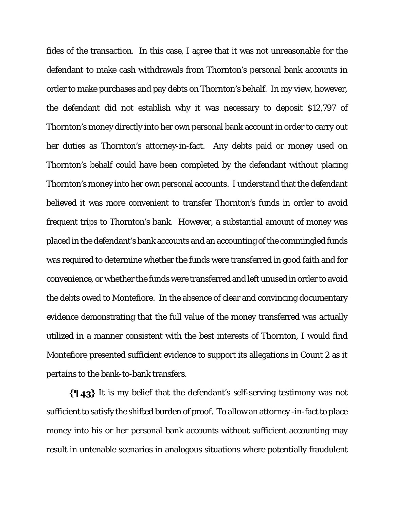fides of the transaction. In this case, I agree that it was not unreasonable for the defendant to make cash withdrawals from Thornton's personal bank accounts in order to make purchases and pay debts on Thornton's behalf. In my view, however, the defendant did not establish why it was necessary to deposit \$12,797 of Thornton's money directly into her own personal bank account in order to carry out her duties as Thornton's attorney-in-fact. Any debts paid or money used on Thornton's behalf could have been completed by the defendant without placing Thornton's money into her own personal accounts. I understand that the defendant believed it was more convenient to transfer Thornton's funds in order to avoid frequent trips to Thornton's bank. However, a substantial amount of money was placed in the defendant's bank accounts and an accounting of the commingled funds was required to determine whether the funds were transferred in good faith and for convenience, or whether the funds were transferred and left unused in order to avoid the debts owed to Montefiore. In the absence of clear and convincing documentary evidence demonstrating that the full value of the money transferred was actually utilized in a manner consistent with the best interests of Thornton, I would find Montefiore presented sufficient evidence to support its allegations in Count 2 as it pertains to the bank-to-bank transfers.

 $\{\{\,\,\,\,\,\,\,\}\}$  It is my belief that the defendant's self-serving testimony was not sufficient to satisfy the shifted burden of proof. To allow an attorney -in-fact to place money into his or her personal bank accounts without sufficient accounting may result in untenable scenarios in analogous situations where potentially fraudulent